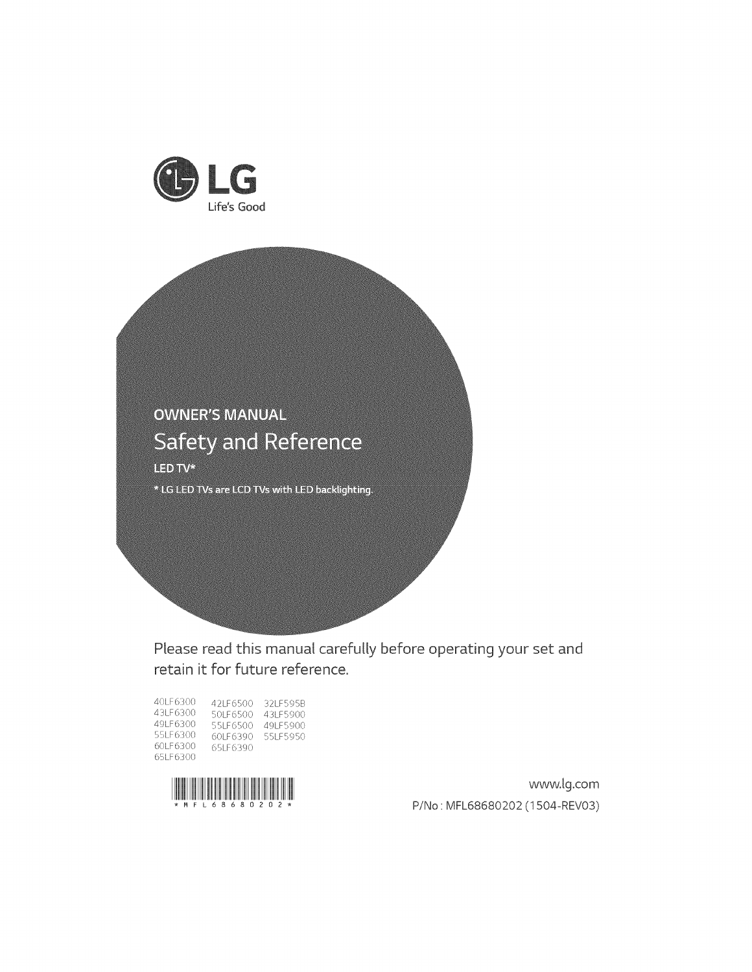



Please read this manual carefully before operating your set and retain it for future reference.

| 40LE6300   | 421 E6500  | 32LE595B  |
|------------|------------|-----------|
| 43LE6300   | 501 E6500  | 43LE5900  |
| 49LE6300   | 551 E6500  | 49LE5900  |
| 551 E6300  | 60LE6390   | 551 E5950 |
| 60LE6300   | 651 E 6390 |           |
| 651 E 6300 |            |           |



www.lg.com P/No: MFL68680202 (1504-REV03)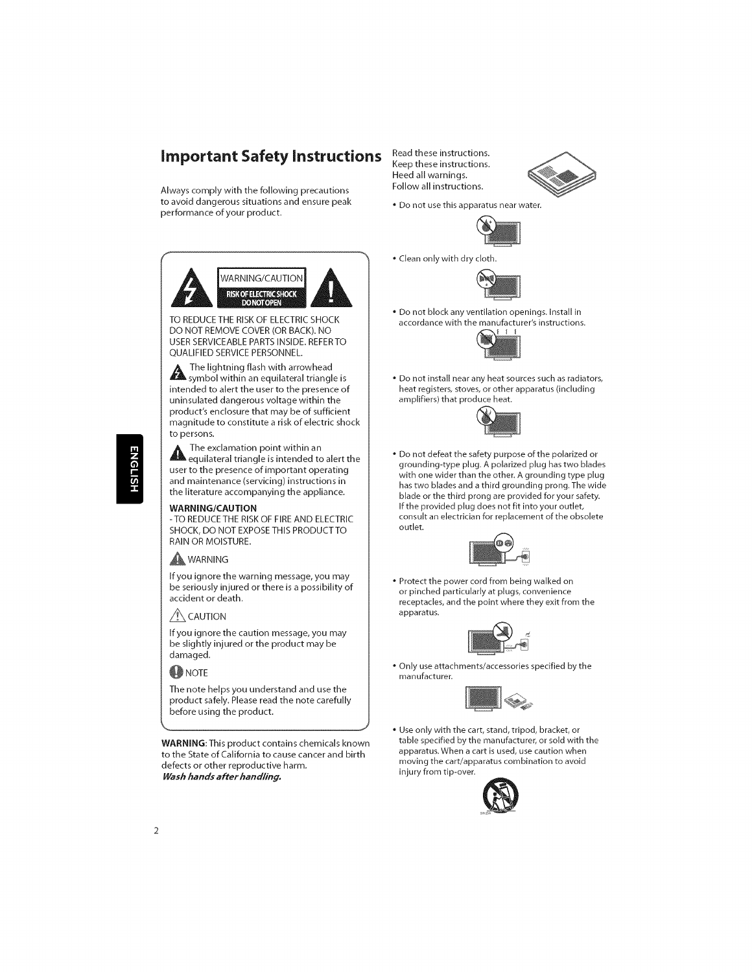# **important Safety instructions**

Always comply with the following precautions to avoid dangerous situations and ensure peak performance of your product.

Read these instructions. Keep these instructions. Heed all warnings. Follow all instructions.



• Do not use this apparatus near water.



• Clean onlywith dry cloth.



• Do not block any ventilation openings. Install in accordance with the manufacturer's instructions.



• Do not install near any heat sources such as radiators, heat registers, stoves, or other apparatus (including amplifiers) that produce heat.



• Do not defeat the safety purpose of the polarized or grounding-type plug. A polarized plug has two blades with one wider than the other. A grounding type plug has two blades and a third grounding prong. The wide blade or the third prong are provided for your safety. If the provided plug does not fit into your outlet, consult an electrician for replacement of the obsolete outlet.



• Protect the power cord from being walked on or pinched particularly at plugs, convenience receptacles, and the point where they exit from the apparatus.



• Only use attachments/accessories specified by the manufacturer.



• Use only with the cart, stand, tripod, bracket, or table specified by the manufacturer, or sold with the apparatus. When a cart is used, use caution when moving the cart/apparatus combination to avoid injury from tip-over.



WARNING/CAUTION **SKOF ELECTRIC SHOCK** 

TO REDUCETHE RISK OF ELECTRIC SHOCK DO NOT REMOVE COVER (OR BACK). NO USER SERVICEABLE PARTS INSIDE. REFERTO QUALIFIED SERVICE PERSONNEL.

symbol within an equilateral triangle is intended to alert the user to the presence of uninsulated dangerous voltage within the product's enclosure that may be of sufficient magnitude to constitute a risk of electric shock to persons.

 $\mathbb A$  in e exclamation point within an equilateral triangle is intended to alert the user to the presence of important operating and maintenance (servicing) instructions in the literature accompanying the appliance.

#### **WARNING/CAUTION**

-TO REDUCETHE RISK OF FIRE AND ELECTRIC SHOCK, DO NOT EXPOSE THIS PRODUCT TO RAIN OR MOISTURE.

#### **A**WARNING

If you **ignore** the warning message, you may be seriously **injured** or there **is** a possibility of accident or death.

 $\sqrt{N}$  CAUTION

If you ignore the caution message, you may be slightly injured or the product may be damaged.

#### **W** NOTE

,\_\_\_,j

The note helps you understand and use the product safely. Please read the note carefully before using the product.

WARNING: This product contains chemicals known to the State of California to cause cancer and birth defects or other reproductive harm. Wash **hands after handling,**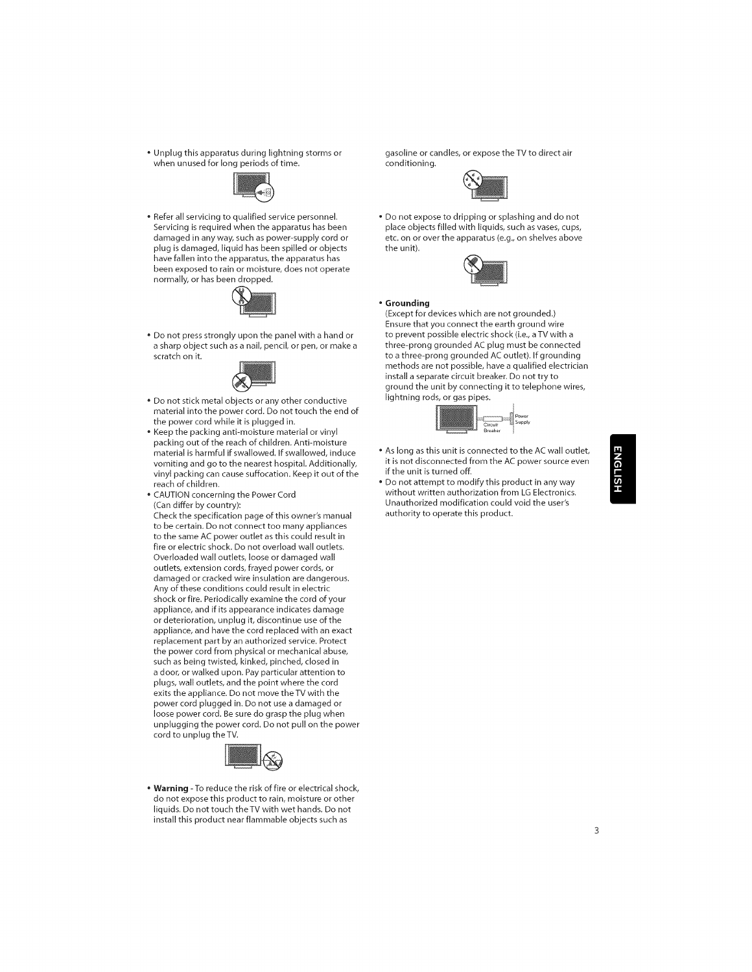Unplug this apparatus during lightning storms or gasoline or candles, or expose the TV to direct air when unused for long periods of time.



• Refer all servicing to qualified service personnel.<br>Servicing is required when the apparatus has been damaged in any way, such as power-supply cord or plug is damaged, liquid has been spilled or objects<br>have fallen into the apparatus, the apparatus has been exposed to rain or moisture, does not operate normally, or has been dropped.



• Do not press strongly upon the panel with a hand or a sharp object such as a nail, pencil, or pen, or make a scratch on it.



- Do not stick metal objects or any other conductive material into the power cord. Do not touch the end of the power cord while it is plugged in.
- Keep the packing anti-moisture material or vinyl packing out of the reach of children. Anti-moisture material is harmful if swallowed. If swallowed, induce vomiting and go to the nearest hospital. Additionally, vinyl packing can cause suffocation. Keep it out of the reach of children.
- CAUTION concerning the Power Cord (Can differ by country):

Check the specification page of this owner's manual to be certain. Do not connect too many appliances to the same AC power outlet as this could result in fire or electric shock. Do not overload wall outlets. Overloaded wall outlets, loose or damaged wall outlets, extension cords, frayed power cords, or damaged or cracked wire insulation are dangerous. Any of these conditions could result in electric shock or fire. Periodically examine the cord of your appliance, and if its appearance indicates damage or deterioration, unplug it, discontinue use of the appliance, and have the cord replaced with an exact replacement part by an authorized service. Protect the power cord from physical or mechanical abuse, such as being twisted, kinked, pinched, closed in a door, or walked upon. Pay particular attention to plugs, wall outlets, and the point where the cord exits the appliance. Do not move the TV with the power cord plugged in. Do not use a damaged or loose power cord. Be sure do grasp the plug when unplugging the power cord. Do not pull on the power cord to unplug the TV.



**• Warning** - To reduce the risk of fire or electrical shock, do not expose this product to rain, moisture or other liquids. Do not touch the TV with wet hands. Do not install this product near flammable objects such as



• Do not expose to dripping or splashing and do not place objects filled with liquids, such as vases, cups, etc. on or over the apparatus (e.g., on shelves above the unit).



#### • **Grounding**

(Except for devices which are not grounded.) Ensure that you connect the earth ground wire to prevent possible electric shock (i.e., a TV with a three-prong grounded AC plug must be connected to a three-prong grounded AC outlet). If grounding methods are not possible, have a qualified electrician install a separate circuit breaker. Do not try to ground the unit by connecting it to telephone wires, lightning rods, or gas pipes.



- As long as this unit is connected to the AC wall outlet,<br>
it is not disconnected from the AC power source even<br>
if the unit is turned off.<br>
 Do not attempt to modify this product in any way<br>
without written authorized m if the unit is turned off.
- Do not attempt to modify this product in any way without written authorization from LG Electronics. Unauthorized modification could void the user's authority to operate this product.

# m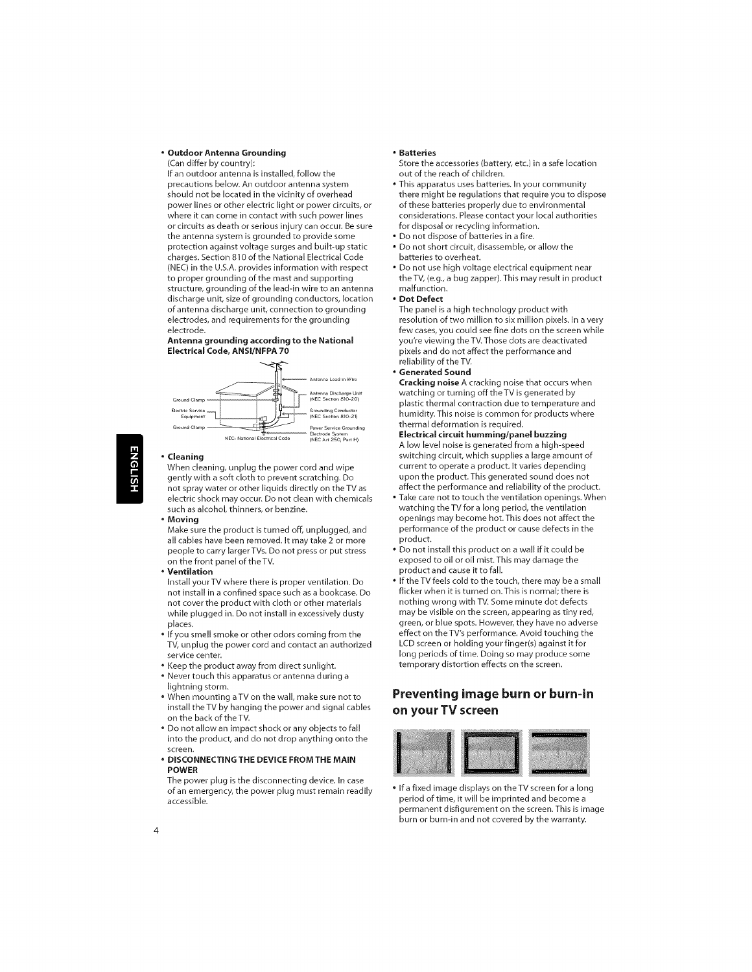#### Outdoor **Antenna** Grounding

(Can differ by country):

If an outdoor antenna is installed, follow the precautions below. An outdoor antenna system should not be located in the vicinity of overhead power lines or other electric light or power circuits, or where it can come in contact with such power lines or circuits as death or serious injury can occur. Be sure the antenna system is grounded to provide some protection against voltage surges and built-up static charges. Section 810 of the National Electrical Code (NEC) in the U.S.A. provides information with respect to proper grounding of the mast and supporting structure, grounding of the lead-in wire to an antenna discharge unit, size of grounding conductors, location of antenna discharge unit, connection to grounding electrodes, and requirements for the grounding electrode.

#### Antenna **grounding** according to the National **Electrical Code, ANSI/NFPA** 70



#### **\*** Cleaning

When cleaning, unplug the power cord and wipe gently with a soft cloth to prevent scratching. Do not spray water or other liquids directly on the TV as electric shock may **occur.** Do not clean with chemicals such as alcohol, thinners, **or** benzine.

**Moving**

Make sure the product is turned off, unplugged, and all cables have been removed. It may take 2 or more people to carry larger TVs. Do not press or put stress on the front panel of the TV.

**,** Ventilation

 $\overline{4}$ 

Install your TV where there is proper ventilation. Do not install in a confined space such as a bookcase. Do not cover the product with cloth or other materials while plugged in. Do not install in excessively dusty places.

- If you smell smoke or other odors coming from the TV, unplug the power cord and contact an authorized service center.
- **\*** Keep the product away from direct sunlight.
- **\*** Never touch this apparatus **or** antenna during a lightning storm.
- **\*** When mounting aTV **on** the wall, make sure not to install the TV by hanging the power and signal cables **on** the back **of** the TV.
- **\*** Do not allow an impact shock **or** any **objects** to fall into the product, and do not drop anything **onto** the screen.
- **= DISCONNECTING THE** DEVICE **FROM THE** MAIN **POWER**

The power plug is the disconnecting device. In case of an emergency, the power plug must remain readily accessible.

#### **\*** Batteries

- Store the accessories (battery, etc.) in a safe location out of the reach of children.
- **\*** This apparatus uses batteries. In your community there might be regulations that require you to dispose of these batteries properly due to environmental considerations. Please contact your local authorities for disposal or recycling information.
- , Do not dispose of batteries in a fire.
- **\*** Do not short circuit, disassemble, or allow the batteries to overheat.
- **\*** Do not use high voltage electrical equipment near the TV, (e.g., a bug zapper). This may result in product malfunction.
- , Dot Defect

The panel is a high technology product with resolution of two million to six million pixels. In a very few cases, you could see fine dots on the screen while you're viewing the TV.Those dots are deactivated pixels and do not affect the performance and reliability of the TV.

- **\*** Generated **Sound**
- Cracking **noise** A **cracking** noise that occurs when watching or turning off the TV is generated by plastic thermal contraction due to temperature and humidity. This noise is common for products where thermal deformation is required.

**Electrical circuit humming/panel buzzing** A low level noise is generated from a high-speed switching circuit, which supplies a large amount of current to operate a product. It varies depending upon the product.This generated sound does not affect the performance and reliability of the product.

- **\*** Take care not to touch the ventilation openings. When watching the TV for a long period, the ventilation openings may become hot. This does not affect the performance of the product or cause defects in the product.
- **\*** Do not install this product on a wall if it could be exposed to oil or oil mist. This may damage the product and cause it to fall.
- **,** If the TV feels cold to the touch, there may be a small flicker when it is turned on.This is normal; there is nothing wrong with TV. Some minute dot defects may be visible on the screen, appearing as tiny red, green, or blue spots. However, they have no adverse effect on the TV's performance. Avoid touching the LCD screen or holding your finger(s) against it for long periods of time. Doing so may produce some temporary distortion effects on the screen.

### **Preventing image burn or burn-in on your TV screen**



• If a fixed image displays on the TV screen for a long period of time, it will be imprinted and become a permanent disfigurement on the screen. This is image burn or burn-in and not covered by the warranty.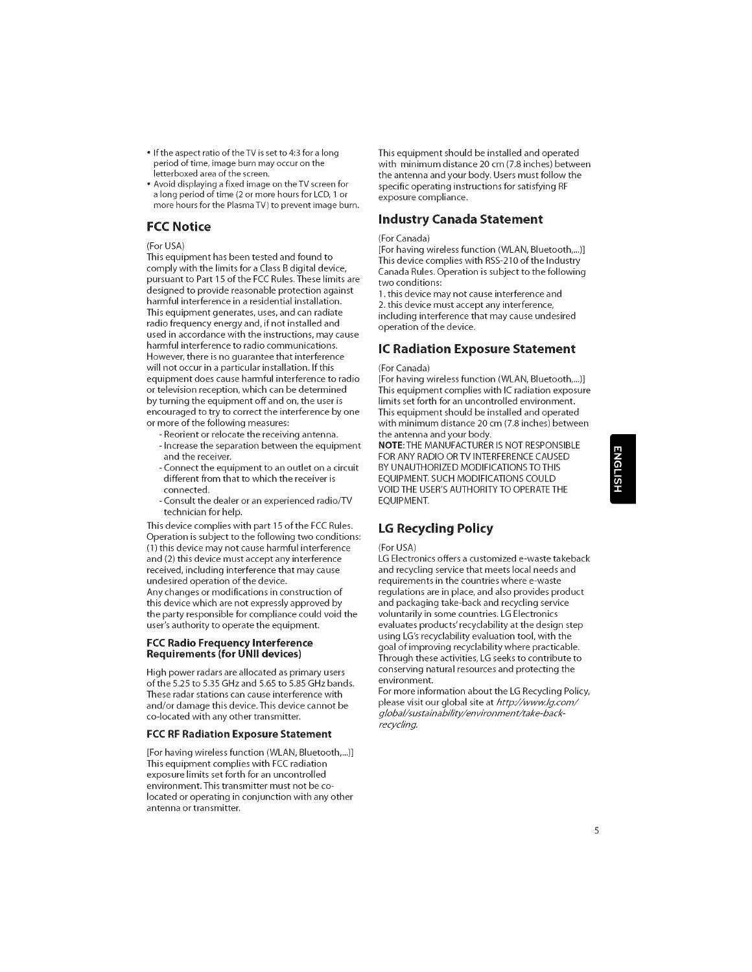- If the aspect ratio of the TV is set to 4:3 for a long period of time, image burn may occur on the<br>letterboxed area of the screen.
- Avoid displaying a fixed image on the TV screen for a long period of time (2 or more hours for LCD, I or more hours for the Plasma TV) to prevent image burn.

#### FCC Notice

#### (For USA)

This equipment has been tested and found to comply with the limits for a Class B digital device, pursuant to Part 15 of the FCC Rules.These limits are designed to provide reasonable protection against harmful interference in a residential installation. This equipment generates, uses, and can radiate radio frequency energy and, if not installed and used in accordance with the instructions, may cause harmful interference to radio communications. However, there is no guarantee that interference will not occur in a particular installation. If this equipment does cause harmful interference to radio or television reception, which can be determined by turning the equipment offand on, the user is encouraged to try to correct the interference by one or more of the following measures:

- Reorient or relocate the receiving antenna. - Increase the separation between the equipment and the receiver.
- Connect the equipment to an outlet on a circuit different from that to which the receiver is connected.
- Consult the dealer or an experienced radio/TV technician for help.

This device complies with part 15 of the FCC Rules. Operation is subject to the following two conditions: (1) this device may not cause harmful interference and (2) this device must accept any interference received, including interference that may cause undesired operation of the device.

Any changes or modifications in construction of this device which are not expressly approved by the party responsible for compliance could void the user's authority to operate the equipment.

#### FCC Radio Frequency Interference Requirements (for UNII devices)

High power radars are allocated as primary users of the 5.25 to 5.35 GHz and 5.65 to 5.85 GHz bands. These radar stations can cause interference with and/or damage this device.This device cannot be co-located with any other transmitter.

#### FCC RF Radiation Exposure **Statement**

[For having wireless function (WLAN, Bluetooth,...)] This equipment complies with FCC radiation exposure limits set forth for an uncontrolled environment.This transmitter must not be colocated or operating in conjunction with any other antenna or transmitter.

This equipment should be installed and operated with minimum distance 20 cm (7.8 inches) between the antenna and your body. Users must follow the specific operating instructions for satisfying RF exposure compliance.

#### Industry **Canada Statement**

#### (For Canada)

[For having wireless function (WLAN, Bluetooth,...)] This device complies with RSS-210 of the Industry Canada Rules. Operation is subject to the following two conditions:

1. this device may not cause interference and 2. this device must accept any interference, including interference that may cause undesired operation of the device.

#### IC Radiation Exposure **Statement**

#### (For Canada)

[For having wireless function (WLAN, Bluetooth,...)] This equipment complies with IC radiation exposure limits set forth for an uncontrolled environment. This equipment should be installed and operated with minimum distance 20 cm (7.8 inches) between the antenna and your body.

NOTE:THE MANUFACTURER IS NOT RESPONSIBLE FOR ANY RADIO OR TV INTERFERENCE CAUSED BY UNAUTHORIZED MODIFICATIONS TOTHIS EQUIPMENT. SUCH MODIFICATIONS COULD VOID THE USER'S AUTHORITY TO OPERATE THE EQUIPMENT.

### LG Recycling Policy

#### (For USA)

LG Electronics offers a customized e-waste takeback and recycling service that meets local needs and requirements in the countries where e-waste regulations are in place, and also provides product and packaging take-back and recycling service voluntarily in some countries. LG Electronics evaluates products' recyclability at the design step using LG's recyclability evaluation tool, with the goal of improving recyclability where practicable. Through these activities, LG seeks to contribute to conserving natural resources and protecting the environment.

For more information about the LG Recycling Policy, please visit our global site at http://www.lg.com/ g/oba//sustainability/environment/take-backrecycling.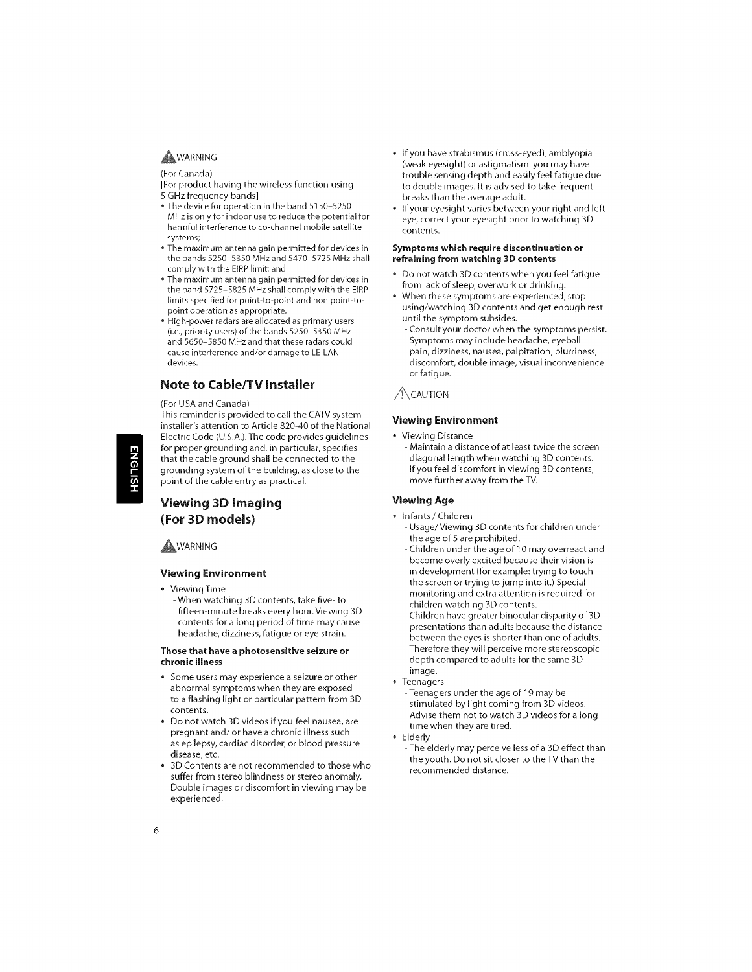#### **AWARNING**

(For Canada)

[For product having the wireless function using 5 GHz frequency bands]

- The device for operation in the band 5150-5250 MHz is only for indoor use to reduce the potential for harmful interference to co-channel mobile satellite systems;
- The maximum antenna gain permitted for devices in the bands 5250-5350 MHz and 5470-5725 MHz shall comply with the EIRP limit; and
- The maximum antenna gain permitted for devices in the band 5725-5825 MHz shall comply with the EIRP limits specified for point-to-point and non point-topoint operation as appropriate.
- High-power radars are allocated as primary users (i.e., priority users) of the bands 5250-5350 MHz and 5650-5850 MHz and that these radars could cause interference and/or damage to LE-LAN devices.

#### **Note** to **Cable/TV Installer**

#### (For USA and Canada)

This reminder is provided to call the CATV system installer's attention to Article 820-40 of the National Electric Code (U.S.A.). The code provides guidelines for proper grounding and, in particular, specifies that the cable ground shall be connected to the grounding system of the building, as close to the point of the cable entry as practical.

**JGLISH** 

#### **Viewing** 3D Imaging **(For** 3D models)

**AWARNING** 

#### Viewing **Environment**

**•** Viewing Time

- When watching 3D contents, take five- to fifteen-minute breaks every hour. Viewing 3D contents for a long period of time may cause headache, dizziness, fatigue or eye strain.

#### **Those that have a** photosensitive **seizure or chronic illness**

- **•** Some users may experience a seizure or other abnormal symptoms when they are exposed to a flashing light or particular pattern from 3D contents.
- Do not watch 3D videos if you feel nausea, are pregnant and/or have a chronic illness such as epilepsy, cardiac disorder, or blood pressure disease, etc.
- 3D Contents are not recommended to those who suffer from stereo blindness or stereo anomaly. Double images or discomfort in viewing may be experienced.
- If you have strabismus (cross-eyed), amblyopia (weak eyesight) or astigmatism, you may have trouble sensing depth and easily feel fatigue due to double images. It is advised to take frequent breaks than the average adult.
- If your eyesight varies between your right and left eye, correct your eyesight prior to watching 3D contents.

#### Symptoms **which require** discontinuation or **refraining** from **watching 3D** contents

- **•** Do not watch 3D contents when you feel fatigue from lack of sleep, overwork or drinking.
- When these symptoms are experienced, stop using/watching 3D contents and get enough rest until the symptom subsides.
	- Consult your doctor when the symptoms persist. Symptoms may include headache, eyeball pain, dizziness, nausea, palpitation, blurriness, discomfort, double image, visual inconvenience or fatigue.

#### $\bigwedge$ CAUTION

#### Viewing **Environment**

- **•** Viewing Distance
	- Maintain a distance of at least twice the screen diagonal length when watching 3D contents. If you feel discomfort **in** viewing 3D contents, move further away from the TV.

#### Viewing Age

- **•** Infants / Children
- Usage/Viewing 3D contents for children under the age of 5 are prohibited.
- Children under the age of 10 may overreact and become overly excited because their vision **is in** development (for example: trying to touch the screen or trying to jump **into it.)** Special monitoring and extra attention **is** required for children watching 3D contents.
- Children have greater binocular disparity of 3D presentations than adults because the distance between the eyes **is** shorter than one of adults. Therefore they will perceive more stereoscopic depth compared to adults for the same 3D **image.**
- Teenagers
	- Teenagers under the age of 19 may be stimulated by light coming from 3D videos. Advise them not to watch 3D videos for a long time when they are tired.
- **•** Elderly
	- The elderly may perceive less of a 3D effect than the youth. Do not sit closer to the TV than the recommended distance.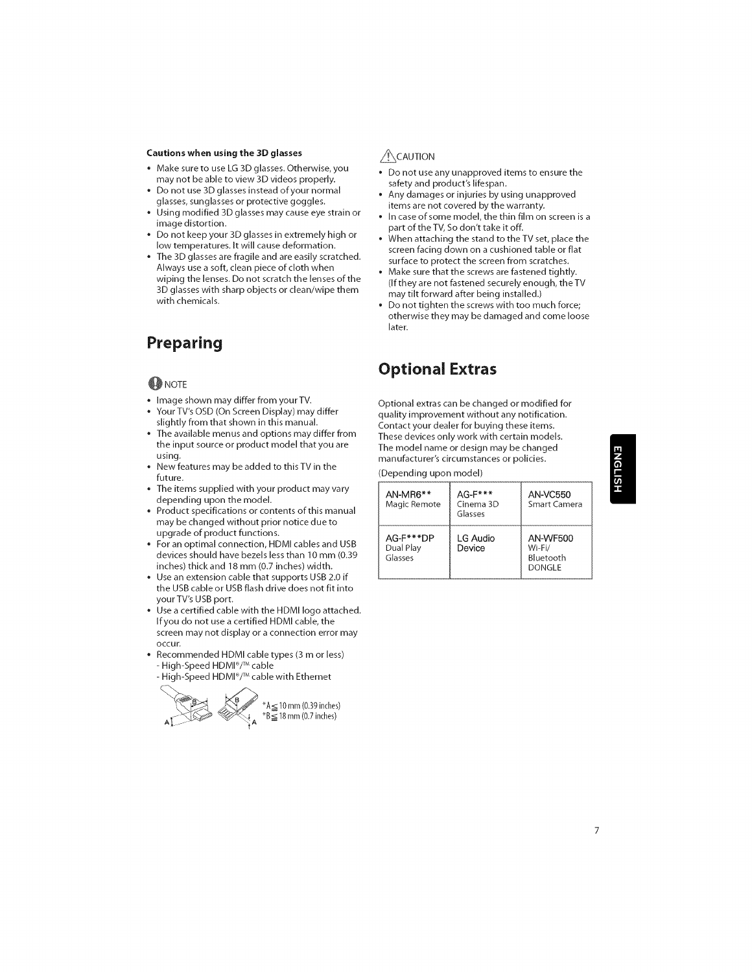#### **Cautions** when using **the** 3D **glasses**

- \* Make sure to use LG 3D glasses. Otherwise, you may not be able to view 3D videos properly.
- \* Do not use 3D glasses instead ofyour normal glasses, sunglasses or protective goggles.
- \* Using modified 3D glasses may cause eye strain or image distortion.
- , Do not keep your 3D glasses in extremely high or low temperatures. It will cause deformation.
- The 3D glasses are fragile and are easily scratched. Always use a soft, clean piece of cloth when wiping the lenses. Do not scratch the lenses of the 3D glasses with sharp objects or clean/wipe them with chemicals.

# **Preparing**

#### **ONOTE**

- Image shown may differ from yourTV.
- Your TV's OSD (On Screen Display) may differ slightly from that shown **in** this manual.
- The available menus and options may differ from the **input** source or product model that you are using.
- New features may be added to this TV **in** the future.
- The **items** supplied with your product may vary depending upon the model.
- Product specifications or contents of this manual may be changed without prior notice due to upgrade of product functions.
- For an optimal connection, HDMI cables and USB devices should have bezels less than 10 mm (0.39 **inches)** thick and 18 mm (0.7 **inches)** width.
- Use an extension cable that supports USB 2.0 **if** the USB cable or USB flash drive does not fit **into** your TV's USB port.
- Use a certified cable with the HDMI logo attached. If you do not use a certified HDMI cable, the screen may not display or a connection error may occur.
- Recommended HDMI cable types (3 m or less) - High-Speed HDMI®/TM cable
- High-Speed HDMI®/TM cable with Ethernet



#### $\bigwedge$ CAUTION

- Do not use any unapproved items to ensure the safety and product's lifespan.
- Any damages or injuries by using unapproved items are not covered by the warranty.
- In case of some model, the thin film on screen is a part of the TV, So don't take it off.
- When attaching the stand to the TV set, place the screen facing down on a cushioned table or flat surface to protect the screen from scratches.
- Make sure that the screws are fastened tightly. (If they are not fastened securely enough, theTV may tilt forward after being installed.)
- Do not tighten the screws with too much force; otherwise they may be damaged and come loose later.

# **Optional Extras**

Optional extras can be changed or modified for quality **improvement** without any notification. Contact your dealer for buying these items. These devices only work with certain models. The model name or design may be changed manufacturer's circumstances or policies.

(Depending upon model)

| AN-MR6**<br>Magic Remote          | $AG-F***$<br>Cinema 3D<br>Glasses | AN-VC550<br>Smart Camera                         |
|-----------------------------------|-----------------------------------|--------------------------------------------------|
| AG-F***DP<br>Dual Play<br>Glasses | LG Audio<br>Device                | <b>AN-WF500</b><br>Wi-Fi/<br>Bluetooth<br>DONGLE |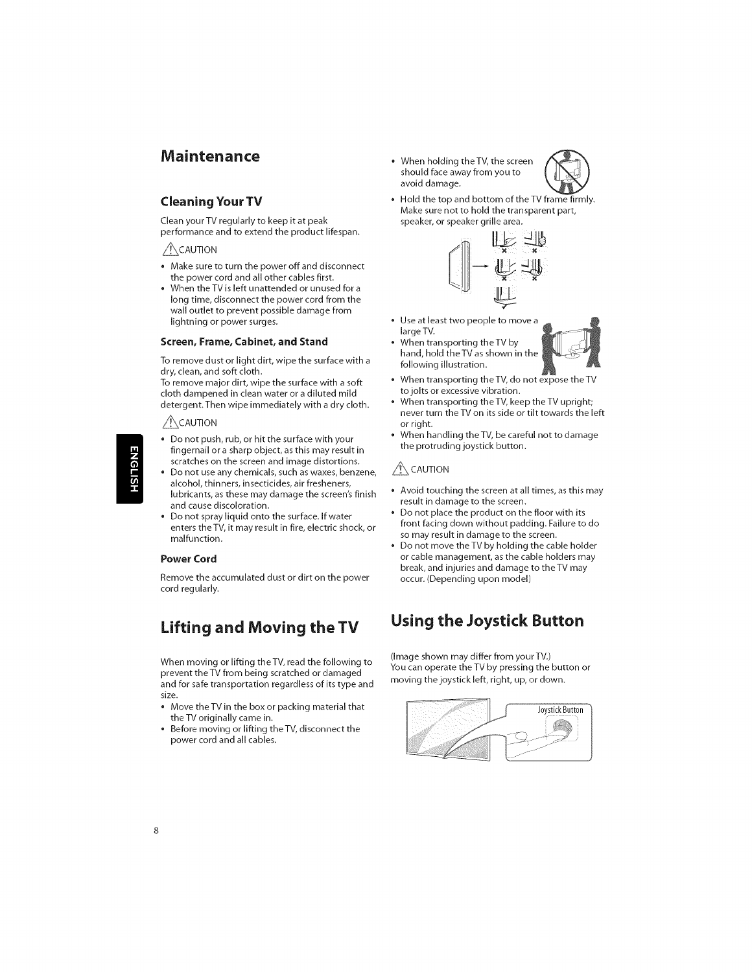# **Maintenance**

#### **Cleaning Your TV**

Clean your TV regularly to keep **it** at peak performance and to extend the product lifespan.

#### $\bigwedge$ CAUTION

- \* Make sure to turn the power off and disconnect the power cord and all other cables first.
- When the TV is left unattended or unused for a long time, disconnect the power cord from the wall outlet to prevent possible damage from lightning or power surges.

#### **Screen, Frame, Cabinet, and Stand**

To remove dust or light dirt, wipe the surface with a dry, clean, and soft cloth.

To remove major dirt, wipe the surface with a soft cloth dampened **in** clean water or a diluted mild detergent.Then wipe **immediately** with a dry cloth.

#### $\bigwedge$ CAUTION

- \* Do not push, rub, or hit the surface with your fingernail or a sharp object, as this may result **in** scratches on the screen and **image** distortions.
- **\*** Do not use any chemicals, such as waxes, benzene, alcohol, thinners, **insecticides,** air fresheners, lubricants, as these may damage the screen's finish and cause discoloration.
- Do not spray liquid onto the surface. If water enters the TV, **it** may result **in** fire, electric shock, or malfunction.

#### **Power Cord**

Remove the accumulated dust or dirt on the power cord regularly.

# **Lifting** and **Moving** the **TV**

When moving or lifting theTV, read the following to prevent the TV from being scratched or damaged and for safe transportation regardless of **its** type and size.

- Move theTV **in** the box or packing material that the TV originally came **in.**
- Before moving or lifting theTV, disconnect the power cord and all cables.

**\*** When holding theTV, the screen \_F\_ should face away from you to avoid damage.



Hold the top and bottom of the TV frame firmly. Make sure not to hold the transparent part, speaker, or speaker grille area.



- ® Use at least two people to move a large TV.
- ® When transporting theTV by hand, hold theTV as shown in the following illustration.
- $\bullet~$  When transporting the TV, do not expose the T
- ® to jolts or excessive vibration. When transporting the TV, keep the TV upright; never turn theTV on its side or tilt towards the left or right.
- When handling the TV, be careful not to damage the protruding joystick button.

#### $\bigwedge$  CAUTION

- **\*** Avoid touching the screen at all times, as this may result **in** damage to the screen.
- Do not place the product on the floor with its front facing down without padding. Failure to do so may result in damage to the screen.
- Do not move theTV by holding the cable holder or cable management, as the cable holders may break, and injuries and damage to theTV may occur. (Depending upon model)

# **Using** the **Joystick Button**

(Image shown may differ from your TV.) You can operate the TV by pressing the button or moving the joystick left, right, up, or down.

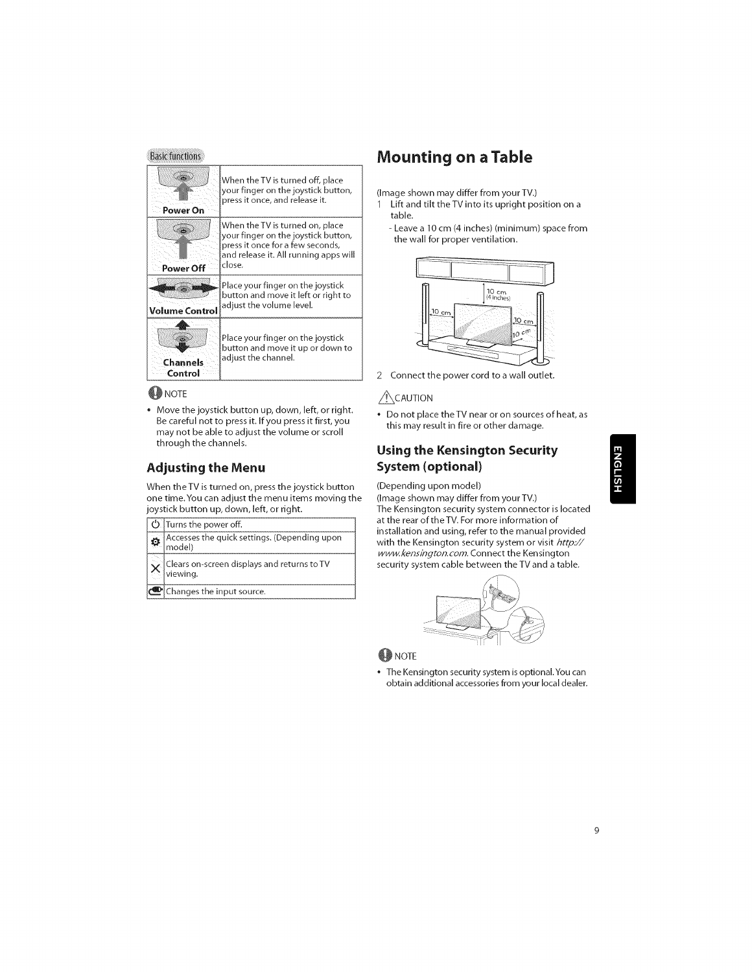

#### **OD** NOTE

**\*** Move the joystick button up, down, left, or right. Be careful not to press it. If you press it first, you may not be able to adjust the volume or scroll through the channels.

#### **Adjusting** the **Menu**

When theTV is turned on, press the joystick button one time.You can adjust the menu items moving the joystick button up, down, left, or right.

| ○ Turns the power off.                                  |
|---------------------------------------------------------|
| Accesses the quick settings. (Depending upon<br>model)  |
| Clears on-screen displays and returns to TV<br>viewing. |
| Changes the input source.                               |

# **Mounting on** a **Table**

(Image shown may differ from your TV.)

- 1 Lift and tilt the TV into its upright position on a table.
	- Leave a 10 cm (4 inches) (minimum) space from the wall for proper ventilation.



2 Connect the power cord to a wall outlet.

#### $\bigwedge$ CAUTION

\* Do not place theTV near or on sources of heat, as this may result in fire or other damage.

## **Using the Kensington Security System (optional)**

#### (Depending upon model)

(image shown may differ from your TV.) The Kensington security system connector is located at the rear of theTV. For more information of installation and using, refer to the manual provided with the Kensington security system or visit http:// www.kensington.com. Connect the Kensington security system cable between the TV and a table.



#### **OD** NOTE

**\*** The Kensington security system is optional.You can obtain additional accessories from your local dealer.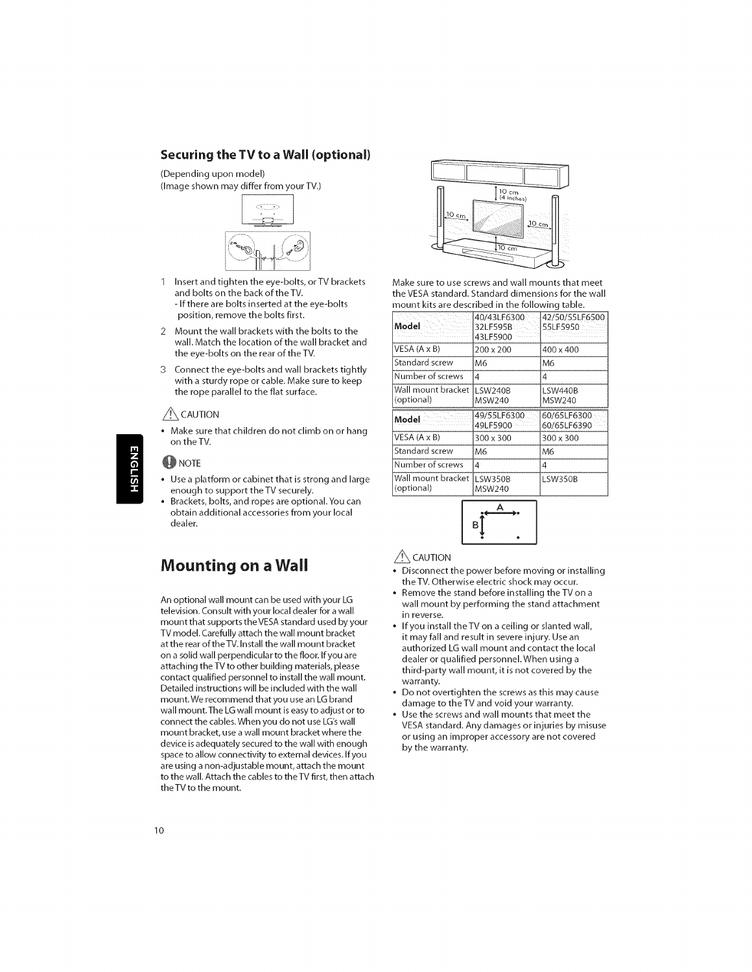#### **Securing** the **TV** to **a Wall (optional)**

(Depending upon model)

(Image shown may differ from your TV.)



- 1 Insert and tighten the eye-bolts, orTV brackets and bolts on the back of theTV. - If there are bolts inserted at the eye-bolts position, remove the bolts first.
- 2 Mount the wall brackets with the bolts to the wall. Match the location of the wall bracket and the eye-bolts on the rear of the TV.
- 3 Connect the eye-bolts and wall brackets tightly with a sturdy rope or cable. Make sure to keep the rope parallel to the flat surface.

#### $/$  CAUTION

Make sure that children do not climb on or hang<br>on the TV.

#### **OD** NOTE

**NGLISH** 

- ose a platform of easiliet that is s<br>enough to support the TV securel • Use a platform or cabinet that **is** strong and large
- Brackets, bolts, and ropes are optional.You can obtain additional accessories from your local dealer.

# **Mounting on a Wail**

An optional wall mount can be used with your LG television. Consult with your local dealer for a wall mount that supports the VESA standard used by your TV model. Carefully attach the wall mount bracket at the rear of the TV. Install the wall mount bracket on a solid wall perpendicular to the floor. If you are attaching the TV to other building materials, please contact qualified personnel to **install** the wall mount. Detailed **instructions** will be **included** with the wall mount. We recommend that you use an LG brand wall mount.The LG wall mount **is** easy to adjust or to connect the cables. When you do not use LG'swall mount bracket, use a wall mount bracket where the device **is** adequately secured to the wall with enough space to allow connectivity to external devices. If you are using a non-adjustable mount, attach the mount to the wall. Attach the cables to theTV first, then attach theTV to the mount.



Make sure to use screws and wall mounts that meet theVESA standard. Standard dimensions for the wall mount kits are described **in** the following table.

| Model                            | 40/43LF6300<br>32LF595B<br>43LF5900 | 42/50/55LF6500<br>55LF5950 |
|----------------------------------|-------------------------------------|----------------------------|
| VESA (A x B)                     | 200 x 200                           | 400 x 400                  |
| Standard screw                   | M6                                  | M6                         |
| Number of screws                 | 4                                   | 4                          |
| Wall mount bracket<br>(optional) | li SW240B<br>MSW240                 | LSW440B<br>MSW240          |
|                                  |                                     |                            |
| Model                            | 49/55LF6300<br>49LF5900             | 60/65LF6300<br>60/65LF6390 |
|                                  | 300 x 300                           | 300 x 300                  |
| Standard screw                   | M6                                  | Μ6                         |
| VESA (A x B)<br>Number of screws | 4                                   | 4                          |



#### $\bigwedge$  Caution

- Disconnect the power before moving or installing the TV. Otherwise electric shock may occur.
- Remove the stand before installing the TV on a wall mount by performing the stand attachment in reverse.
- If you install the TV on a ceiling or slanted wall, it may fall and result in severe injury. Use an authorized LG wall mount and contact the local dealer or qualified personnel.When using a third-party wall mount, it is not covered by the warranty.
- Do not overtighten the screws as this may cause damage to theTV and void your warranty.
- Use the screws and wall mounts that meet the VESA standard. Any damages or injuries by misuse or using an improper accessory are not covered by the warranty.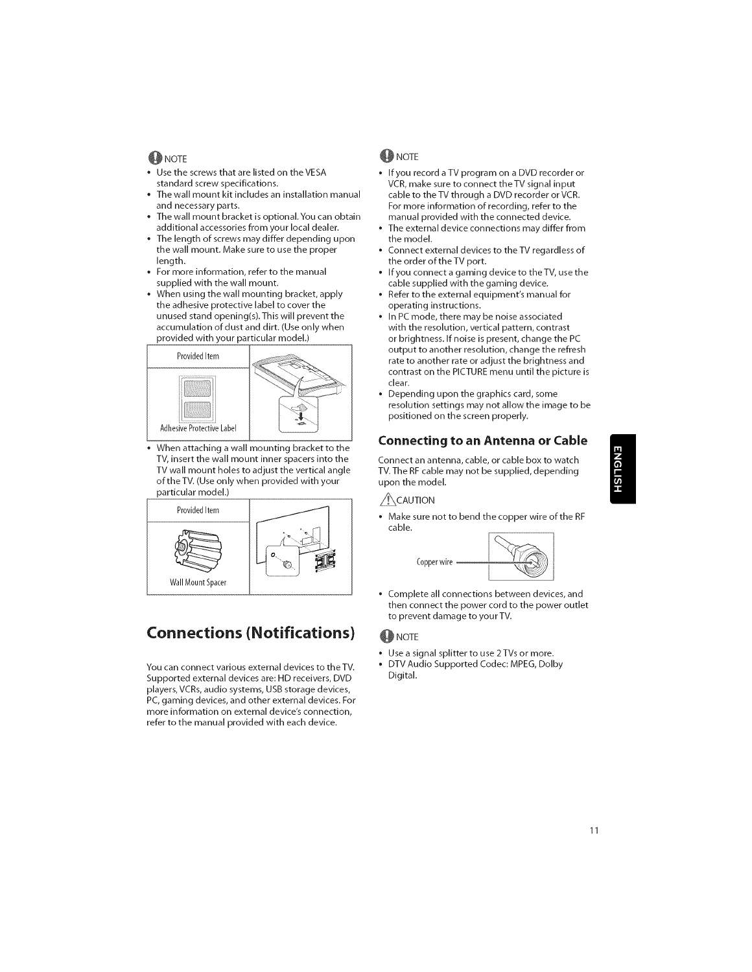#### **W**INOTE

- Use the screws that are listed on the VESA standard screw specifications.<br>The wall mount kit includes an installation manual
- and necessary parts.
- The wall mount bracket is optional. You can obtain additional accessories from your local dealer.
- The length of screws may differ depending upon the wall mount. Make sure to use the proper<br>length.
- For more information, refer to the manual supplied with the wall mount.
- When using the wall mounting bracket, apply the adhesive protective label to cover the unused stand opening(s). This will prevent the accumulation of dust and dirt. (Use only when provided with your particular model.)



When attaching a wall mounting bracket to the TV, insert the wall mount inner spacers into the TV wall mount holes to adjust the vertical angle of the TV. (Use only when provided with your particular model.)



# **Connections (Notifications)**

You can connect various external devices to theTV. Supported external devices are: HD receivers, DVD players, VCRs, audio systems, USB storage devices, PC, gaming devices, and other external devices. For more information on external device's connection, refer to the manual provided with each device.

#### **D**NOTE

- If you record a TV program on a DVD recorder or VCR, make sure to connect theTV signal input cable to the TV through a DVD recorder or VCR. For more information of recording, refer to the manual provided with the connected device.
- The external device connections may differ from the model.
- Connect external devices to theTV regardless of the order of the TV port.
- If you connect a gaming device to the TV, use the cable supplied with the gaming device.
- Refer to the external equipment's manual for operating instructions.
- In PC mode, there may be noise associated with the resolution, vertical pattern, contrast or brightness. If noise is present, change the PC output to another resolution, change the refresh rate to another rate or adjust the brightness and contrast on the PICTURE menu until the picture is clear.
- Depending upon the graphics card, some resolution settings may not allow the image to be positioned on the screen properly.

#### **Connecting** to an **Antenna or Cable**

Connect an antenna, cable, or cable box to watch TV.The RF cable may not be supplied, depending upon the model.

#### $\bigwedge$ CAUTION

• Make sure not to bend the copper wire of the RF cable.



Complete all connections between devices, and then connect the power cord to the power outlet to prevent damage to your TV.

#### **O** NOTE

- Use a signal splitter to use 2TVs or more.
- DTV Audio Supported Codec: MPEG, Dolby Digital.
	-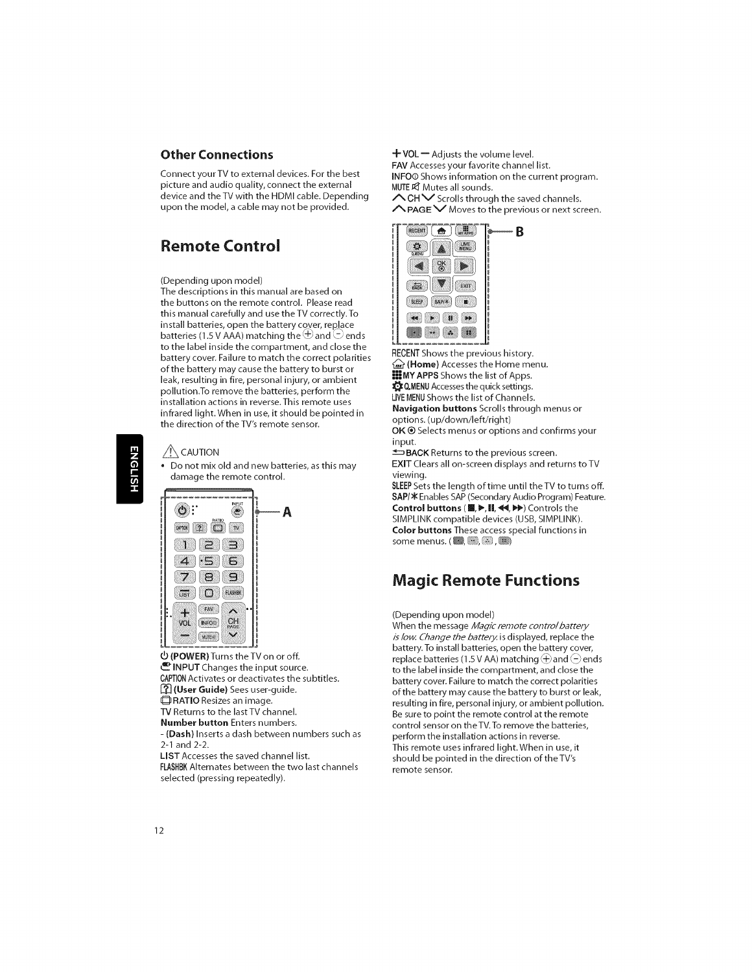#### **Other Connections**

Connect your TV to external devices. For the best picture and audio quality, connect the external device and theTV with the HDMI cable. Depending upon the model, a cable may not be provided.

# **Remote Control**

#### (Depending upon model)

The descriptions **in** this manual are based on the buttons on the remote control. Please read this manual carefully and use theTV correctly.To install batteries, open the battery cover, replace batteries (1.5 V AAA) matching the  $\oplus$  and  $\ominus$  ends to the label inside the compartment, and close the battery cover. Failure to match the correct polarities of the battery may cause the battery to burst or leak, resulting **in** fire, personal injury, or ambient pollution.To remove the batteries, perform the installation actions in reverse. This remote uses infrared light. When **in** use, **it** should be pointed **in** the direction of theTV's remote sensor.

#### $\bigwedge$  CAUTION

\* Do not mix old and new batteries, as this may damage the remote control.

Α



(POWER) Turns the TV on or off. \_\_ INPUT Changes the input source. CAPTION Activates or deactivates the subtitles. [\_ (User **Guide)** Sees user-guide. **THATIO** Resizes an image.

**TV** Returns to the last TV channel. Number **button** Enters numbers.

- (Dash) Inserts a dash between numbers such as 2-1 and 2-2.

LIST Accesses the saved channel list.

FLASHBK Alternates between the two last channels selected (pressing repeatedly).

 $+$  VOL $-$  Adjusts the volume level.

FAV Accesses your favorite channel list. INFOO Shows information on the current program. MUTE\_ Mutes all sounds.

 $\sqrt{CH}$  Scrolls through the saved channels.

 $\triangle$  PAGE  $\vee$  Moves to the previous or next screen.

-B



RECENT Shows the previous history.  $\mathcal{L}$  (Home) Accesses the Home menu. **III MY APPS** Shows the list of Apps.  $\bigcirc$  Q.MENU Accesses the quick settings. LIVE**MENU**Shows the list of Channels. Navigation buttons Scrolls through menus or options. (up/down/left/right)

OK® Selects menus or options and confirms your input.

 $\triangle$ BACK Returns to the previous screen. EXIT Clears all on-screen displays and returns to TV viewing.

SLEEP Sets the length of time until the TV to turns off. SAP/ $*$  Enables SAP (Secondary Audio Program) Feature. Control buttons ( $\blacksquare, \blacktriangleright, \blacksquare, \blacktriangleleft, \blacktriangleright$ ) Controls the SIMPLINK compatible devices (USB, SIMPLINK). Color buttons These access special functions in some menus.  $(\blacksquare, \blacksquare, \blacksquare)$ 

# **Magic Remote Functions**

#### (Depending upon model)

When the message Magic remote control battery is low. Change the battery, is displayed, replace the battery.To install batteries, open the battery cover, replace batteries (1.5 V AA) matching  $\oplus$  and  $\ominus$  ends to the label **inside** the compartment, and close the battery cover. Failure to match the correct polarities of the battery may cause the battery to burst or leak, resulting **in** fire, personal injury, or ambient pollution. Be sure to point the remote control at the remote control sensor on theTV.To remove the batteries, perform the installation actions **in** reverse. This remote uses infrared light.When **in** use, **it** should be pointed **in** the direction of theTV's remote sensor.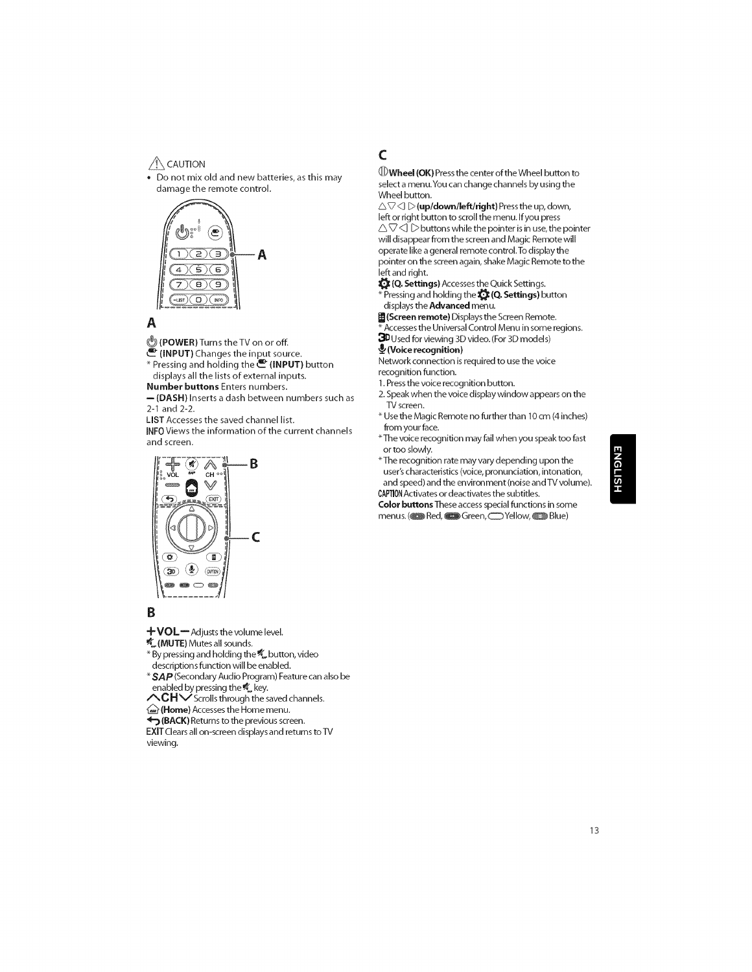#### $\bigwedge$  CAUTION

**\*** Do not mix old and new batteries, as this may damage the remote control.



# A

(\_ **(POWER)** Turns the TV on or off.

\_- **(INPUT)** Changes the input source.

\* Pressing and holding the **@ (INPUT)** button displays all the lists of external **inputs.**

Number **buttons** Enters numbers.

 $-$  (DASH) Inserts a dash between numbers such as 2-1 and 2-2.

LIST Accesses the saved channel list.

INFO Views the information of the current channels and screen.



#### B

 $+$ VOL $-$  Adjusts the volume level.

**K** (MUTE) Mutes all sounds.

 $*$  By pressing and holding the  $\mathscr{C}_\omega$  button, video descriptions function will be enabled.

 $^*$  SAP (Secondary Audio Program) Feature can also be enabled by pressing the  $\mathcal{K}_\bullet$  key.

 $\wedge$ CH $\vee$  Scrolls through the saved channels.

(**Home**) Accesses the Home menu.

**4** (BACK) Returns to the previous screen.

EXIT Clears all on-screen displays and returns to TV viewing.

# **C**

 $\mathbb D$ Wheel (OK) Press the center of the Wheel button to select a menu.You can change channels by using the Wheel button.

 $\triangle \triangledown \triangle \triangleright$  (up/down/left/right) Press the up, down, left or right button to scroll the menu. Ifyou press  $\triangle \triangledown \triangle \triangledown$  buttons while the pointer is in use, the pointer will disappear from the screen and Magic Remote will operate like a general remote control.To display the pointer on the screen again, shake Magic Remote to the left and right.

(Q. Settings) Accesses the Quick Settings.  $*$  Pressing and holding the  $\bigotimes$  (Q. Settings) button displays the **Advanced** menu.

图(Screen remote) Displays the Screen Remote.  $\overline{A}$  Accesses the Universal Control Menu in some regions.

**3D** Used for viewing 3D video. (For 3D models)

### (Voice **recognition)**

Network connection **is**required to use the voice

recognition function.

1.Press the voice recognition button.

2.Speak when the voice display window appears on the TV screen.

- \_ Use the Magic Remote no further than 10 cm (4 **inches)** from your face.
- \_-The voice recognition may fail when you speak too fast or too slowly.

\* The recognition rate may vary depending upon the user's characteristics (voice, pronunciation, intonation, and speed) and the environment (noise and TV volume). CAPTION Activates or deactivates the subtitles.

Color **buttons** These access special functions in some menus. ( $\bullet$  Red,  $\bullet$  Green,  $\bullet$  Yellow,  $\bullet$  Blue)

# **1SITS**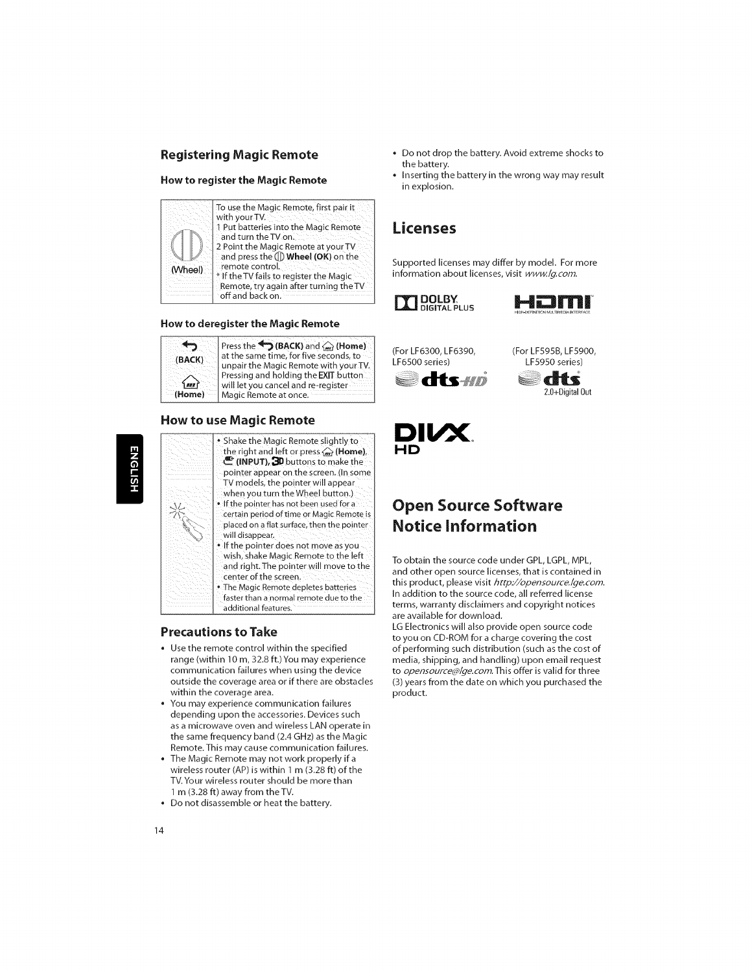#### **Registering Magic Remote**

#### **How** to **register** the **Magic Remote**



#### **How** to **deregister** the **Magic** Remote

| (BACK)<br><b><i>MER</i></b> | Press the $\blacktriangleright$ (BACK) and $\binom{m}{m}$ (Home)<br>at the same time, for five seconds, to<br>unpair the Magic Remote with your TV.<br>Pressing and holding the EXIT button<br>will let you cancel and re-register |
|-----------------------------|------------------------------------------------------------------------------------------------------------------------------------------------------------------------------------------------------------------------------------|
| (Home)                      | Magic Remote at once.                                                                                                                                                                                                              |

#### **How** to **use Magic** Remote

# **ENGLISH**

\* Shake the Magic Remote slightly to the right and left or press  $\mathcal{L}$  (Home), \_- (INPUT), \_1) buttons to make the pointer appear on the screen. (In some TV models, the pointer will appear when you turn the Wheel button.] If the pointer has not been used for a certain period of time or Magic Remote is placed on a flat surface, then the pointer will disappear. If the pointer does not move as you

wish. shake Magic Remote to the left and right. The pointer will move to the center of the screen. . The Magic Remote depletes batteries

faster than a normal remote due to the additional features.

#### **Precautions** to Take

- **•** Use the remote control within the specified range (within 10 m, 32.8 ft.) You may experience communication failures when using the device outside the coverage area or **if** there are obstacles within the coverage area.
- **•** You may experience communication failures depending upon the accessories. Devices such as a microwave oven and wireless LAN operate **in** the same frequency band (2.4 GHz) as the Magic Remote. This may cause communication failures.
- **•** The Magic Remote may not work properly **ifa** wireless router (AP) **is** within 1 m (3.28 ft) of the TV. Your wireless router should be more than 1 m (3.28 ft) away from theTV.
- **•** Do not disassemble or heat the battery.
- Do not drop the battery. Avoid extreme shocks to the battery.
- **Inserting the battery in the wrong way may result in** explosion.

## **Licenses**

Supported licenses may differ by model. For more information about licenses, visit www./g.com.





(For **LF6300, LF6390,** (For **LF595B, LF5900,** LF6SO0 series) LF5950 series)



dis 2.0+Digital Out



# **Open Source Software** Notice Information

To obtain the source code under GPL, LGPL, MPL, and other open source licenses, that is contained in this product, please visit http://opensource.lge.com. In addition to the source code, all referred license terms, warranty disclaimers and copyright notices are available for download.

LG Electronics will also provide open source code to you on CD-ROM for a charge covering the cost of performing such distribution (such as the cost of media, shipping, and handling) upon email request to opensource@lge.com.This offer **is** valid for three (3) years from the date on which you purchased the product.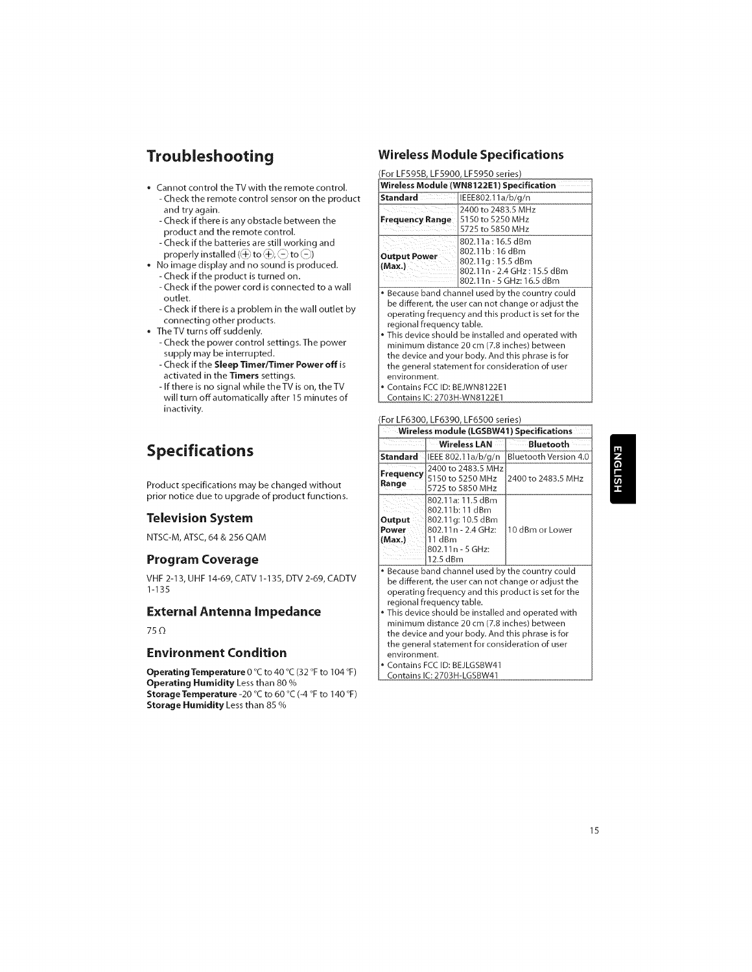# **Troubleshooting**

- \* Cannot control the TV with the remote control. - Check the remote control sensor on the product and try again.
	- Check if there is any obstacle between the product and the remote control.
	- Check if the batteries are still working and properly installed ( $\bigoplus$  to  $\bigoplus$ ,  $\bigodot$  to  $\bigodot$ )
- \* No image display and no sound is produced. - Check if the product is turned on.
	- Check if the power cord is connected to a wall outlet.
	- Check if there is a problem in the wall outlet by connecting other products.
- TheTV turns off suddenly.
	- Check the power control settings.The power supply may be interrupted.
	- Check **if** the **Sleep TimerlTimer Power** off **is** activated **in** the **Timers** settings.
	- If there **is** no signal while theTV **is** on, theTV will turn off automatically after 15 minutes of **inactivity.**

# **Specifications**

Product specifications may be changed without prior notice due to upgrade of product functions.

#### **Television System**

NTSC-M, ATSC, 64 & 256 QAM

#### **Program Coverage**

VHF 2-13, UHF 14-69, CATV 1-135, DTV 2-69, CADTV 1-135

#### **External Antenna** Impedance

75 $\Omega$ 

#### **Environment** Condition

Operating **Temperature** 0 °C to 40 °C (32 °F to 104 °F) Operating Humidity Less than 80 % **Storage Temperature -20** °C to 60 °C (-4 °F to 140 °F) **Storage** Humidity Less than 85 %

#### **Wireless Module Specifications**

(For LF595B, **LF5900, LF5950** series)

| Wireless Module (WN8122E1) Specification |                                                                                                                                                                |
|------------------------------------------|----------------------------------------------------------------------------------------------------------------------------------------------------------------|
| Standard                                 | IEEE802.11a/b/g/n                                                                                                                                              |
| Frequency Range                          | 2400 to 2483.5 MHz<br>5150 to 5250 MHz<br>5725 to 5850 MHz                                                                                                     |
| <b>Output Power</b><br>(Max.)            | 802.11a : 16.5 dBm<br>802.11b:16 dBm<br>802.11g: 15.5 dBm<br>802.11n - 2.4 GHz: 15.5 dBm<br>802.11n - 5 GHz: 16.5 dBm                                          |
|                                          | • Because band channel used by the country could<br>be different, the user can not change or adjust the<br>operating frequency and this product is set for the |

operating frequency and this product **is** set for the regional frequency table. This device should be installed and operated with

minimum distance 20 cm (7.8 inches) between the device and your body. And this phrase **is** for the general statement for consideration of user environment. Contains FCC ID: BEJWN8122E1

Contains IC: 2703H-WN8122E1

#### (For **LF6300, LF6390,** LF6500 series)

| Wireless module (LGSBW41) Specifications                                                                                                                                                                                                                                                                                                                                                                 |                                                                                                                           |                       |
|----------------------------------------------------------------------------------------------------------------------------------------------------------------------------------------------------------------------------------------------------------------------------------------------------------------------------------------------------------------------------------------------------------|---------------------------------------------------------------------------------------------------------------------------|-----------------------|
|                                                                                                                                                                                                                                                                                                                                                                                                          | <b>Wireless LAN</b>                                                                                                       | <b>Bluetooth</b>      |
| Standard                                                                                                                                                                                                                                                                                                                                                                                                 | IEEE 802.11a/b/g/n                                                                                                        | Bluetooth Version 4.0 |
| Frequency.<br>Range                                                                                                                                                                                                                                                                                                                                                                                      | 2400 to 2483.5 MHz<br>5150 to 5250 MHz<br>5725 to 5850 MHz                                                                | 2400 to 2483.5 MHz    |
| Output<br>Power<br>(Max.)                                                                                                                                                                                                                                                                                                                                                                                | 802.11a: 11.5 dBm<br>802.11b: 11 dBm<br>802.11g: 10.5 dBm<br>802.11n - 2.4 GHz:<br>11 dBm<br>802.11n - 5 GHz:<br>12.5 dBm | 10 dBm or Lower       |
| . Because band channel used by the country could<br>be different, the user can not change or adjust the<br>operating frequency and this product is set for the<br>regional frequency table.<br>• This device should be installed and operated with<br>minimum distance 20 cm (7.8 inches) between<br>the device and your body. And this phrase is for<br>the general statement for consideration of user |                                                                                                                           |                       |

environment. Contains FCC ID: BEJLGSBW41

Contains IC: 2703H-LGSBW41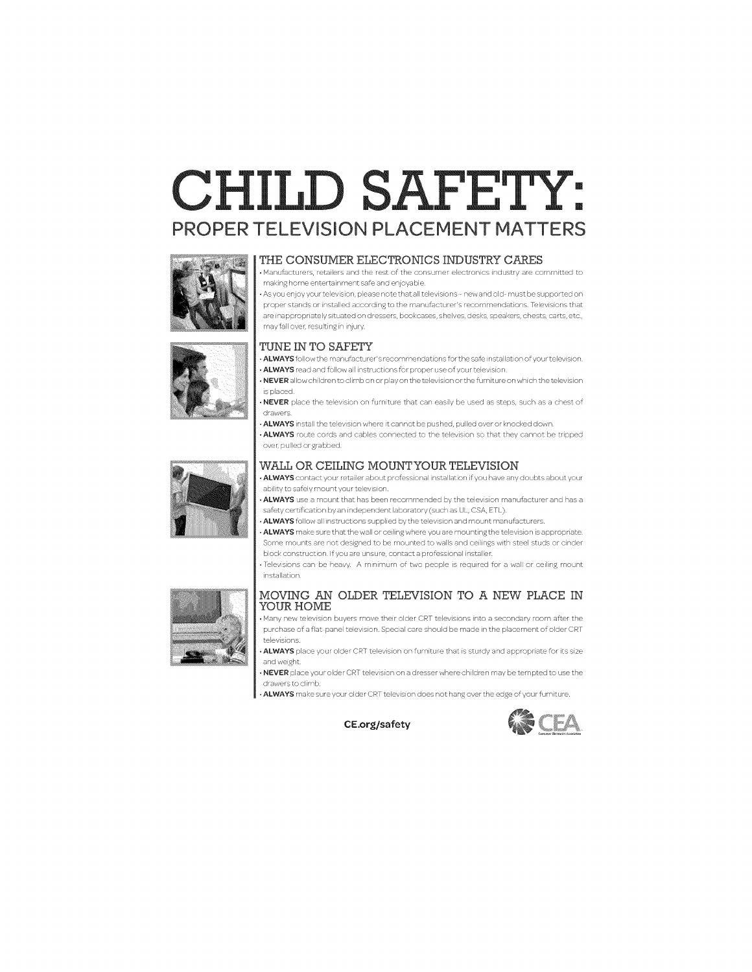# CHILD SAFETY: PROPER TELEViSiON PLACEMENT MATTERS



#### THE CONSUMER ELECTRONICS INDUSTRY CARES

• Manufacturers, retailers and the rest of the consumer electronics industry are committed to making home entertainment safe and enjoyable.



• As you enjoy your television, please note that all televisions – new and old- must be supported on proper stands or installed according to the manufacturer's recommendations. Televisions that are inappropriately situated on dressers, bookcases, shelves, desks, speakers, chests, carts, etc,



## may fall over, resulting in injury. TUNE IN TO SAFETY

• ALWAYS follow the manufacturer's recommendations for the safe installation of your television. • ALWAYS read and follow all instructions for proper use of your television.

 $\cdot$  NEVER allow children to climb on or play on the television or the furniture on which the television is placed

• NEVER place the television on furniture that can easily be used as steps, such as a chest of drawers

• ALWAYS install the television where it cannot be pushed, pulled over or knocked down.

• ALWAYS route cords and cables connected to the television so that they cannot be tripped over, pulled or grabbed.



#### WALL OR CEILING MOUNTYOUR TELEVISION

• ALWAYS contact your retailer about professional installation if you have any doubts about your ability to safely mount your television

ALWAYS use a mount that has been recommended by the television manufacturer and has a safety certification by an independent laboratory (such as UL, CSA, ETL).

• ALWAYS follow all instructions supplied by the television and mount manufacturers.

• ALWAYS make sure that the wall or ceiling where you are mounting the television is appropriate. Some mounts are not designed to be mounted to walls and ceilings with steel studs or cinder block construction. If you are unsure, contact a professional installer. • Televisions can be heavy. A minimum of two people is required for a wall or ceiling mount

installation

#### MOVING AN OLDER TELEVISION TO A NEW PLACE IN YOUR HOME

• Many new television buyers move their older CRr televisions into a secondary room after the purchase of a flat-panel television. Special care should be made in the placement of older CRT televisions

• ALWAYS place your older CRT television on furniture that is sturdy and appropriate for its size and weight.

• NEVER place your older CRT television on a dresser where children may be tempted to use the drawers to climb

• ALWAYS make sure your older CRT television does not hang over the edge of your furniture.



CE.org/safety